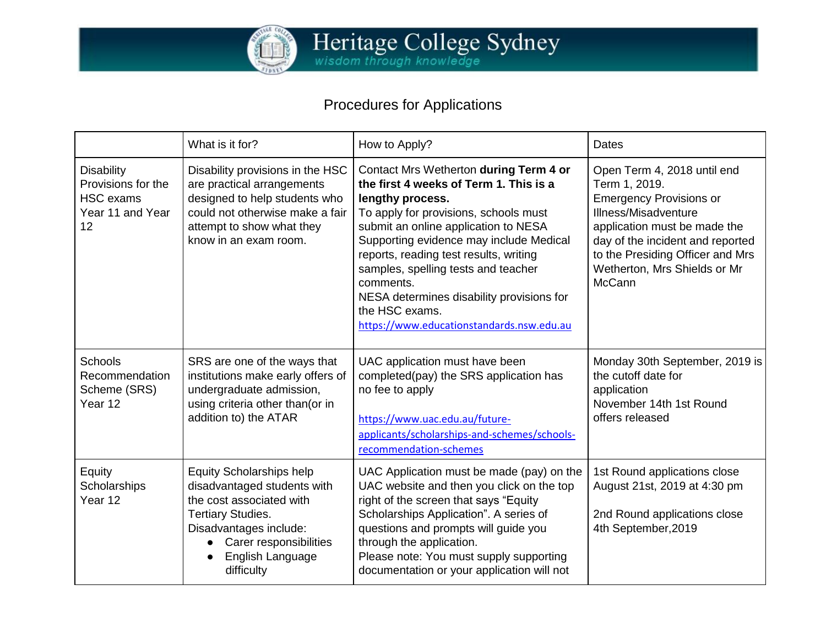

## Procedures for Applications

|                                                                                       | What is it for?                                                                                                                                                                                              | How to Apply?                                                                                                                                                                                                                                                                                                                                                                                                                              | Dates                                                                                                                                                                                                                                                           |
|---------------------------------------------------------------------------------------|--------------------------------------------------------------------------------------------------------------------------------------------------------------------------------------------------------------|--------------------------------------------------------------------------------------------------------------------------------------------------------------------------------------------------------------------------------------------------------------------------------------------------------------------------------------------------------------------------------------------------------------------------------------------|-----------------------------------------------------------------------------------------------------------------------------------------------------------------------------------------------------------------------------------------------------------------|
| <b>Disability</b><br>Provisions for the<br><b>HSC</b> exams<br>Year 11 and Year<br>12 | Disability provisions in the HSC<br>are practical arrangements<br>designed to help students who<br>could not otherwise make a fair<br>attempt to show what they<br>know in an exam room.                     | Contact Mrs Wetherton during Term 4 or<br>the first 4 weeks of Term 1. This is a<br>lengthy process.<br>To apply for provisions, schools must<br>submit an online application to NESA<br>Supporting evidence may include Medical<br>reports, reading test results, writing<br>samples, spelling tests and teacher<br>comments.<br>NESA determines disability provisions for<br>the HSC exams.<br>https://www.educationstandards.nsw.edu.au | Open Term 4, 2018 until end<br>Term 1, 2019.<br><b>Emergency Provisions or</b><br>Illness/Misadventure<br>application must be made the<br>day of the incident and reported<br>to the Presiding Officer and Mrs<br>Wetherton, Mrs Shields or Mr<br><b>McCann</b> |
| <b>Schools</b><br>Recommendation<br>Scheme (SRS)<br>Year 12                           | SRS are one of the ways that<br>institutions make early offers of<br>undergraduate admission,<br>using criteria other than(or in<br>addition to) the ATAR                                                    | UAC application must have been<br>completed(pay) the SRS application has<br>no fee to apply<br>https://www.uac.edu.au/future-<br>applicants/scholarships-and-schemes/schools-<br>recommendation-schemes                                                                                                                                                                                                                                    | Monday 30th September, 2019 is<br>the cutoff date for<br>application<br>November 14th 1st Round<br>offers released                                                                                                                                              |
| Equity<br>Scholarships<br>Year 12                                                     | <b>Equity Scholarships help</b><br>disadvantaged students with<br>the cost associated with<br><b>Tertiary Studies.</b><br>Disadvantages include:<br>Carer responsibilities<br>English Language<br>difficulty | UAC Application must be made (pay) on the<br>UAC website and then you click on the top<br>right of the screen that says "Equity<br>Scholarships Application". A series of<br>questions and prompts will guide you<br>through the application.<br>Please note: You must supply supporting<br>documentation or your application will not                                                                                                     | 1st Round applications close<br>August 21st, 2019 at 4:30 pm<br>2nd Round applications close<br>4th September, 2019                                                                                                                                             |